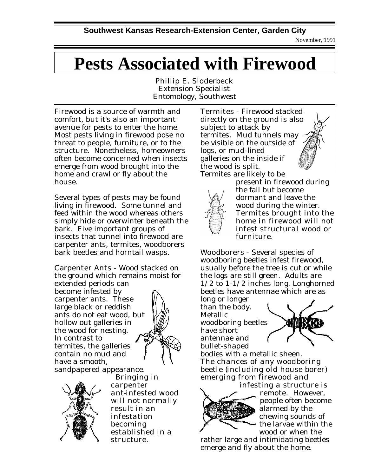November, 1991

## **Pests Associated with Firewood**

Phillip E. Sloderbeck Extension Specialist Entomology, Southwest

Firewood is a source of warmth and comfort, but it's also an important avenue for pests to enter the home. Most pests living in firewood pose no threat to people, furniture, or to the structure. Nonetheless, homeowners often become concerned when insects emerge from wood brought into the home and crawl or fly about the house.

Several types of pests may be found living in firewood. Some tunnel and feed within the wood whereas others simply hide or overwinter beneath the bark. Five important groups of insects that tunnel into firewood are carpenter ants, termites, woodborers bark beetles and horntail wasps.

Carpenter Ants - Wood stacked on the ground which remains moist for extended periods can

become infested by carpenter ants. These large black or reddish ants do not eat wood, but hollow out galleries in the wood for nesting. In contrast to termites, the galleries contain no mud and have a smooth,







 *Bringing in carpenter ant-infested wood will not normally result in an infestation becoming established in a structure.* 

Termites - Firewood stacked directly on the ground is also subject to attack by termites. Mud tunnels may be visible on the outside of logs, or mud-lined galleries on the inside if the wood is split. Termites are likely to be



present in firewood during the fall but become dormant and leave the wood during the winter. *Termites brought into the home in firewood will not infest structural wood or furniture.*

Woodborers - Several species of woodboring beetles infest firewood, usually before the tree is cut or while the logs are still green. Adults are 1/2 to 1-1/2 inches long. Longhorned beetles have antennae which are as

long or longer than the body. Metallic woodboring beetles have short antennae and bullet-shaped



bodies with a metallic sheen. *The chances of any woodboring beetle (including old house borer) emerging from firewood and infesting a structure is*



*remote.* However, people often become alarmed by the chewing sounds of the larvae within the wood or when the

rather large and intimidating beetles emerge and fly about the home.